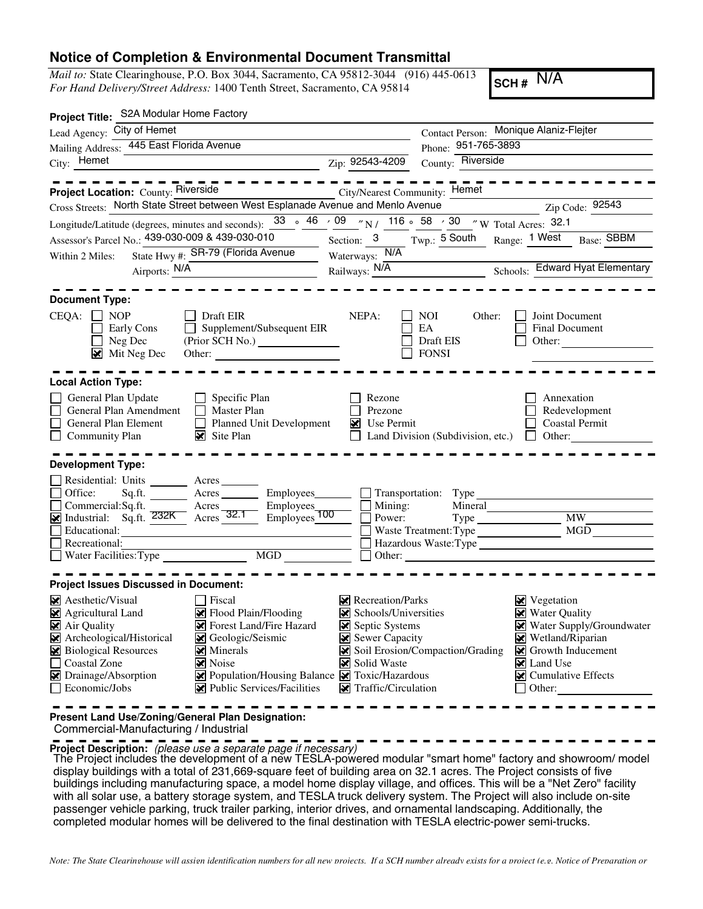Print Form

## **Notice of Completion & Environmental Document Transmittal**

*Mail to:* State Clearinghouse, P.O. Box 3044, Sacramento, CA 95812-3044 (916) 445-0613 *For Hand Delivery/Street Address:* 1400 Tenth Street, Sacramento, CA 95814

**SCH #** N/A

| Contact Person: Monique Alaniz-Flejter                                                                                                                                                                                                                                                                                                                                                                                                               |
|------------------------------------------------------------------------------------------------------------------------------------------------------------------------------------------------------------------------------------------------------------------------------------------------------------------------------------------------------------------------------------------------------------------------------------------------------|
| 951-765-3893<br>Phone:                                                                                                                                                                                                                                                                                                                                                                                                                               |
| County: Riverside<br>Zip: 92543-4209<br><u> 1989 - Johann Barbara, martxa alemaniar a</u>                                                                                                                                                                                                                                                                                                                                                            |
| City/Nearest Community: Hemet<br>Cross Streets: North State Street between West Esplanade Avenue and Menlo Avenue<br>Zip Code: 92543                                                                                                                                                                                                                                                                                                                 |
| Longitude/Latitude (degrees, minutes and seconds): $\frac{33}{46}$ $\frac{46}{46}$ $\frac{09}{48}$ $\frac{7}{416}$ $\frac{116}{46}$ $\frac{58}{48}$ $\frac{30}{48}$ $\frac{7}{48}$ W Total Acres: 32.1                                                                                                                                                                                                                                               |
| $Twp.:$ 5 South Range: $\frac{1 \text{ West}}{1 \text{ West}}$<br>Section: $3$<br>Base: SBBM<br>$\overline{\phantom{a}}$                                                                                                                                                                                                                                                                                                                             |
| Waterways: N/A                                                                                                                                                                                                                                                                                                                                                                                                                                       |
| Railways: N/A<br>Schools: Edward Hyat Elementary                                                                                                                                                                                                                                                                                                                                                                                                     |
| NEPA:<br>Joint Document<br><b>NOI</b><br>Other:<br>Supplement/Subsequent EIR<br>EA<br><b>Final Document</b><br>Draft EIS<br>Other:<br><b>FONSI</b><br>Other: $\qquad \qquad$                                                                                                                                                                                                                                                                         |
|                                                                                                                                                                                                                                                                                                                                                                                                                                                      |
| Rezone<br>Annexation<br>Prezone<br>Redevelopment<br><b>Planned Unit Development</b><br>$\triangleright$ Use Permit<br><b>Coastal Permit</b><br>Land Division (Subdivision, etc.)<br>Other:<br>$\perp$                                                                                                                                                                                                                                                |
|                                                                                                                                                                                                                                                                                                                                                                                                                                                      |
| Acres __________ Employees_________ ___ Transportation: Type<br>Commercial:Sq.ft. Acres Bemployees Employees<br>Mondustrial: Sq.ft. 232K Acres 32.1 Employees 100<br>Mineral<br>Mining:<br><b>MW</b><br>Power:<br>MGD<br>Waste Treatment: Type<br>Hazardous Waste:Type<br>MGD<br>Other:                                                                                                                                                              |
|                                                                                                                                                                                                                                                                                                                                                                                                                                                      |
| $\triangleright$ Recreation/Parks<br>$\triangleright$ Vegetation<br>Water Quality<br>$\blacktriangleright$ Schools/Universities<br>Septic Systems<br>Water Supply/Groundwater<br>Sewer Capacity<br>Wetland/Riparian<br>Soil Erosion/Compaction/Grading<br>Solveth Inducement<br>Solid Waste<br>× Land Use<br>Population/Housing Balance<br>Toxic/Hazardous<br>Cumulative Effects<br>₩<br>Public Services/Facilities<br>Traffic/Circulation<br>Other: |
|                                                                                                                                                                                                                                                                                                                                                                                                                                                      |

**Present Land Use/Zoning/General Plan Designation:**

Commercial-Manufacturing / Industrial

**Project Description:** (please use a separate page if necessary)

The Project includes the development of a new TESLA-powered modular "smart home" factory and showroom/ model<br>dipploy buildings with a total of 231,660 cauggs feet of building area on 22.1 earea. The Project consiste of fiv display buildings with a total of 231,669-square feet of building area on 32.1 acres. The Project consists of five buildings including manufacturing space, a model home display village, and offices. This will be a "Net Zero" facility with all solar use, a battery storage system, and TESLA truck delivery system. The Project will also include on-site passenger vehicle parking, truck trailer parking, interior drives, and ornamental landscaping. Additionally, the completed modular homes will be delivered to the final destination with TESLA electric-power semi-trucks.

*Note: The State Clearinghouse will assign identification numbers for all new projects. If a SCH number already exists for a project (e.g. Notice of Preparation or*